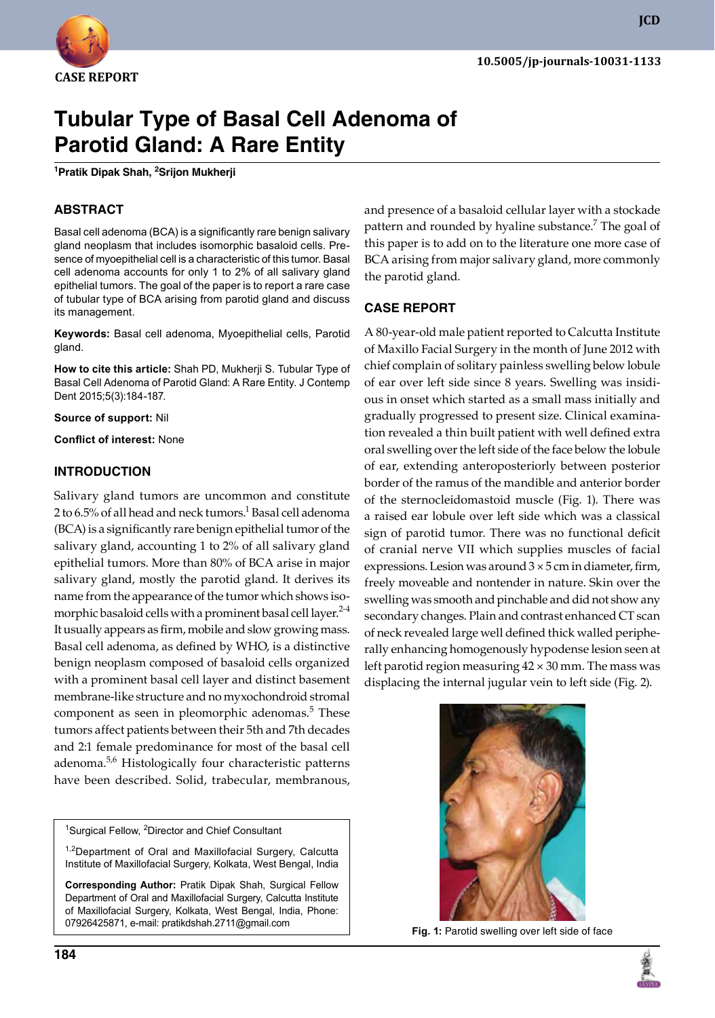

# **Tubular Type of Basal Cell Adenoma of Parotid Gland: A Rare Entity**

**1 Pratik Dipak Shah, 2 Srijon Mukherji**

# **ABSTRACT**

Basal cell adenoma (BCA) is a significantly rare benign salivary gland neoplasm that includes isomorphic basaloid cells. Presence of myoepithelial cell is a characteristic of this tumor. Basal cell adenoma accounts for only 1 to 2% of all salivary gland epithelial tumors. The goal of the paper is to report a rare case of tubular type of BCA arising from parotid gland and discuss its management.

**Keywords:** Basal cell adenoma, Myoepithelial cells, Parotid gland.

**How to cite this article:** Shah PD, Mukherji S. Tubular Type of Basal Cell Adenoma of Parotid Gland: A Rare Entity. J Contemp Dent 2015;5(3):184-187.

**Source of support:** Nil

**Conflict of interest:** None

### **Introduction**

Salivary gland tumors are uncommon and constitute 2 to 6.5% of all head and neck tumors. $^1$  Basal cell adenoma (BCA) is a significantly rare benign epithelial tumor of the salivary gland, accounting 1 to 2% of all salivary gland epithelial tumors. More than 80% of BCA arise in major salivary gland, mostly the parotid gland. It derives its name from the appearance of the tumor which shows isomorphic basaloid cells with a prominent basal cell layer.<sup>2-4</sup> It usually appears as firm, mobile and slow growing mass. Basal cell adenoma, as defined by WHO, is a distinctive benign neoplasm composed of basaloid cells organized with a prominent basal cell layer and distinct basement membrane-like structure and no myxochondroid stromal component as seen in pleomorphic adenomas.<sup>5</sup> These tumors affect patients between their 5th and 7th decades and 2:1 female predominance for most of the basal cell adenoma.5,6 Histologically four characteristic patterns have been described. Solid, trabecular, membranous,

<sup>1</sup>Surgical Fellow, <sup>2</sup>Director and Chief Consultant

<sup>1,2</sup>Department of Oral and Maxillofacial Surgery, Calcutta Institute of Maxillofacial Surgery, Kolkata, West Bengal, India

**Corresponding Author:** Pratik Dipak Shah, Surgical Fellow Department of Oral and Maxillofacial Surgery, Calcutta Institute of Maxillofacial Surgery, Kolkata, West Bengal, India, Phone: 07926425871, e-mail: pratikdshah.2711@gmail.com

and presence of a basaloid cellular layer with a stockade pattern and rounded by hyaline substance.<sup>7</sup> The goal of this paper is to add on to the literature one more case of BCA arising from major salivary gland, more commonly the parotid gland.

#### **Case Report**

A 80-year-old male patient reported to Calcutta Institute of Maxillo Facial Surgery in the month of June 2012 with chief complain of solitary painless swelling below lobule of ear over left side since 8 years. Swelling was insidious in onset which started as a small mass initially and gradually progressed to present size. Clinical examination revealed a thin built patient with well defined extra oral swelling over the left side of the face below the lobule of ear, extending anteroposteriorly between posterior border of the ramus of the mandible and anterior border of the sternocleidomastoid muscle (Fig. 1). There was a raised ear lobule over left side which was a classical sign of parotid tumor. There was no functional deficit of cranial nerve VII which supplies muscles of facial expressions. Lesion was around  $3 \times 5$  cm in diameter, firm, freely moveable and nontender in nature. Skin over the swelling was smooth and pinchable and did not show any secondary changes. Plain and contrast enhanced CT scan of neck revealed large well defined thick walled peripherally enhancing homogenously hypodense lesion seen at left parotid region measuring 42 × 30 mm. The mass was displacing the internal jugular vein to left side (Fig. 2).



**Fig. 1:** Parotid swelling over left side of face



**JCD**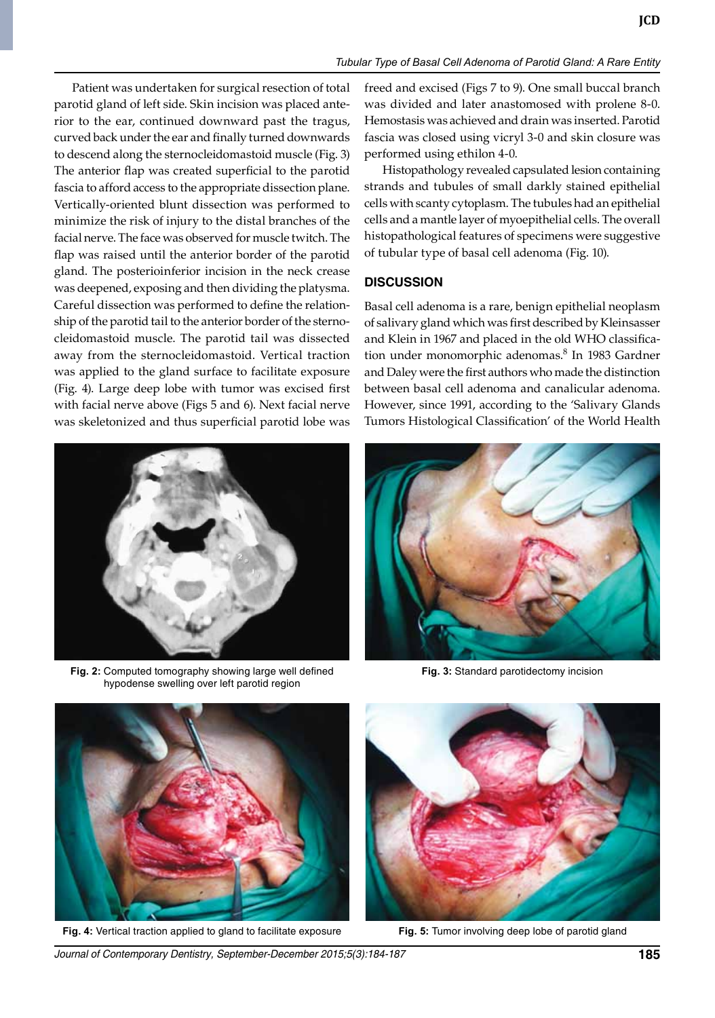Patient was undertaken for surgical resection of total parotid gland of left side. Skin incision was placed anterior to the ear, continued downward past the tragus, curved back under the ear and finally turned downwards to descend along the sternocleidomastoid muscle (Fig. 3) The anterior flap was created superficial to the parotid fascia to afford access to the appropriate dissection plane. Vertically-oriented blunt dissection was performed to minimize the risk of injury to the distal branches of the facial nerve. The face was observed for muscle twitch. The flap was raised until the anterior border of the parotid gland. The posterioinferior incision in the neck crease was deepened, exposing and then dividing the platysma. Careful dissection was performed to define the relationship of the parotid tail to the anterior border of the sternocleidomastoid muscle. The parotid tail was dissected away from the sternocleidomastoid. Vertical traction was applied to the gland surface to facilitate exposure (Fig. 4). Large deep lobe with tumor was excised first with facial nerve above (Figs 5 and 6). Next facial nerve was skeletonized and thus superficial parotid lobe was



**Fig. 2:** Computed tomography showing large well defined hypodense swelling over left parotid region

freed and excised (Figs 7 to 9). One small buccal branch was divided and later anastomosed with prolene 8-0. Hemostasis was achieved and drain was inserted. Parotid fascia was closed using vicryl 3-0 and skin closure was performed using ethilon 4-0.

Histopathology revealed capsulated lesion containing strands and tubules of small darkly stained epithelial cells with scanty cytoplasm. The tubules had an epithelial cells and a mantle layer of myoepithelial cells. The overall histopathological features of specimens were suggestive of tubular type of basal cell adenoma (Fig. 10).

#### **Discussion**

Basal cell adenoma is a rare, benign epithelial neoplasm of salivary gland which was first described by Kleinsasser and Klein in 1967 and placed in the old WHO classification under monomorphic adenomas.<sup>8</sup> In 1983 Gardner and Daley were the first authors who made the distinction between basal cell adenoma and canalicular adenoma. However, since 1991, according to the 'Salivary Glands Tumors Histological Classification' of the World Health



**Fig. 3:** Standard parotidectomy incision



**Fig. 4:** Vertical traction applied to gland to facilitate exposure **Fig. 5:** Tumor involving deep lobe of parotid gland



*Journal of Contemporary Dentistry, September-December 2015;5(3):184-187* **185**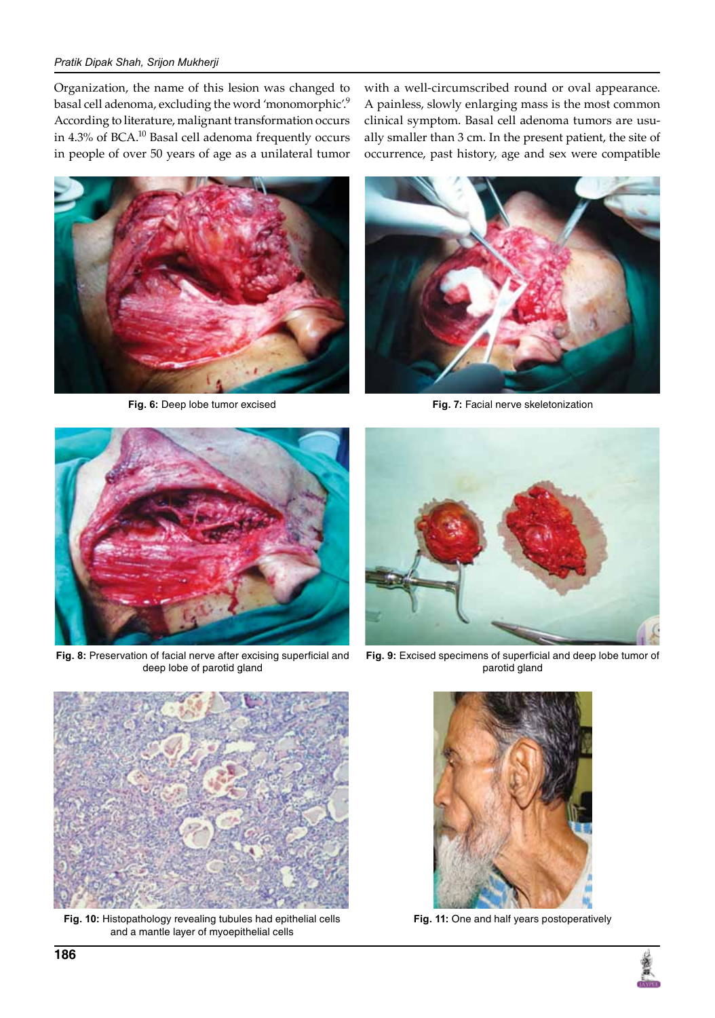#### *Pratik Dipak Shah, Srijon Mukherji*

Organization, the name of this lesion was changed to basal cell adenoma, excluding the word 'monomorphic'.<sup>9</sup> According to literature, malignant transformation occurs in 4.3% of BCA.10 Basal cell adenoma frequently occurs in people of over 50 years of age as a unilateral tumor

with a well-circumscribed round or oval appearance. A painless, slowly enlarging mass is the most common clinical symptom. Basal cell adenoma tumors are usually smaller than 3 cm. In the present patient, the site of occurrence, past history, age and sex were compatible





**Fig. 6:** Deep lobe tumor excised **Fig. 7:** Facial nerve skeletonization



**Fig. 8:** Preservation of facial nerve after excising superficial and deep lobe of parotid gland



**Fig. 9:** Excised specimens of superficial and deep lobe tumor of parotid gland



**Fig. 10:** Histopathology revealing tubules had epithelial cells and a mantle layer of myoepithelial cells



**Fig. 11:** One and half years postoperatively